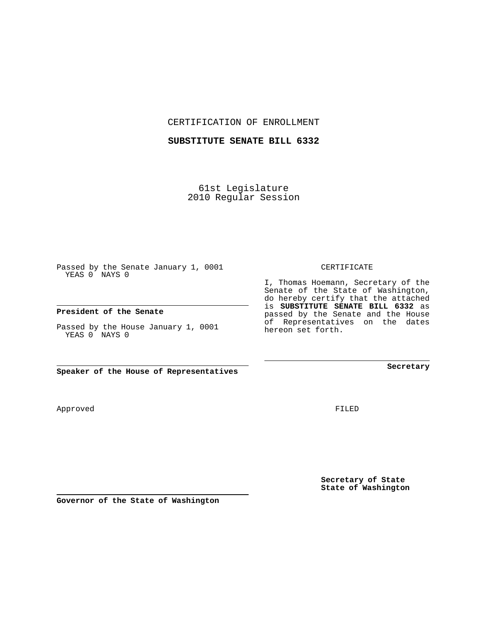CERTIFICATION OF ENROLLMENT

#### **SUBSTITUTE SENATE BILL 6332**

61st Legislature 2010 Regular Session

Passed by the Senate January 1, 0001 YEAS 0 NAYS 0

#### **President of the Senate**

Passed by the House January 1, 0001 YEAS 0 NAYS 0

**Speaker of the House of Representatives**

Approved

FILED

**Secretary of State State of Washington**

**Governor of the State of Washington**

### CERTIFICATE

I, Thomas Hoemann, Secretary of the Senate of the State of Washington, do hereby certify that the attached is **SUBSTITUTE SENATE BILL 6332** as passed by the Senate and the House of Representatives on the dates hereon set forth.

**Secretary**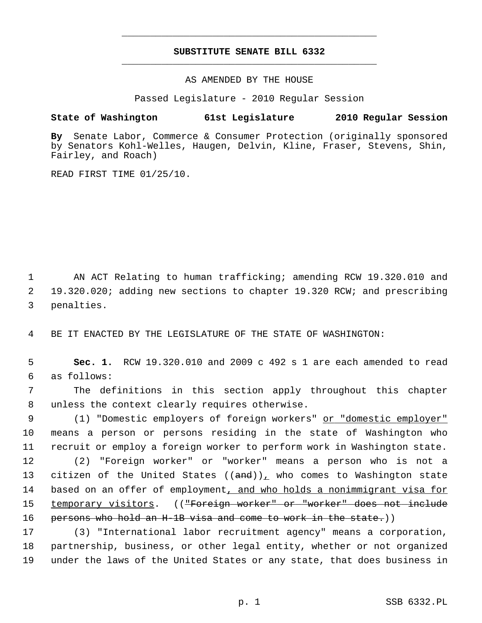# **SUBSTITUTE SENATE BILL 6332** \_\_\_\_\_\_\_\_\_\_\_\_\_\_\_\_\_\_\_\_\_\_\_\_\_\_\_\_\_\_\_\_\_\_\_\_\_\_\_\_\_\_\_\_\_

\_\_\_\_\_\_\_\_\_\_\_\_\_\_\_\_\_\_\_\_\_\_\_\_\_\_\_\_\_\_\_\_\_\_\_\_\_\_\_\_\_\_\_\_\_

AS AMENDED BY THE HOUSE

Passed Legislature - 2010 Regular Session

## **State of Washington 61st Legislature 2010 Regular Session**

**By** Senate Labor, Commerce & Consumer Protection (originally sponsored by Senators Kohl-Welles, Haugen, Delvin, Kline, Fraser, Stevens, Shin, Fairley, and Roach)

READ FIRST TIME 01/25/10.

 1 AN ACT Relating to human trafficking; amending RCW 19.320.010 and 2 19.320.020; adding new sections to chapter 19.320 RCW; and prescribing 3 penalties.

4 BE IT ENACTED BY THE LEGISLATURE OF THE STATE OF WASHINGTON:

 5 **Sec. 1.** RCW 19.320.010 and 2009 c 492 s 1 are each amended to read 6 as follows:

 7 The definitions in this section apply throughout this chapter 8 unless the context clearly requires otherwise.

9 (1) "Domestic employers of foreign workers" or "domestic employer" 10 means a person or persons residing in the state of Washington who 11 recruit or employ a foreign worker to perform work in Washington state.

12 (2) "Foreign worker" or "worker" means a person who is not a 13 citizen of the United States  $((and))_L$  who comes to Washington state 14 based on an offer of employment, and who holds a nonimmigrant visa for 15 temporary visitors. ((<del>"Foreign worker" or "worker" does not include</del> 16 persons who hold an H-1B visa and come to work in the state.)

17 (3) "International labor recruitment agency" means a corporation, 18 partnership, business, or other legal entity, whether or not organized 19 under the laws of the United States or any state, that does business in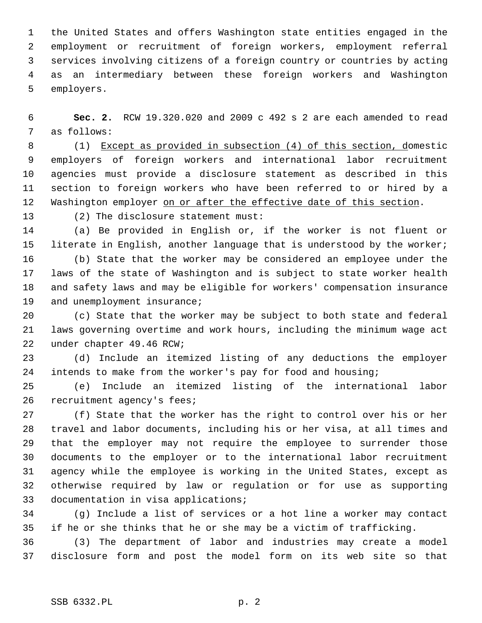1 the United States and offers Washington state entities engaged in the 2 employment or recruitment of foreign workers, employment referral 3 services involving citizens of a foreign country or countries by acting 4 as an intermediary between these foreign workers and Washington 5 employers.

 6 **Sec. 2.** RCW 19.320.020 and 2009 c 492 s 2 are each amended to read 7 as follows:

 8 (1) Except as provided in subsection (4) of this section, domestic 9 employers of foreign workers and international labor recruitment 10 agencies must provide a disclosure statement as described in this 11 section to foreign workers who have been referred to or hired by a 12 Washington employer on or after the effective date of this section.

13 (2) The disclosure statement must:

14 (a) Be provided in English or, if the worker is not fluent or 15 literate in English, another language that is understood by the worker;

16 (b) State that the worker may be considered an employee under the 17 laws of the state of Washington and is subject to state worker health 18 and safety laws and may be eligible for workers' compensation insurance 19 and unemployment insurance;

20 (c) State that the worker may be subject to both state and federal 21 laws governing overtime and work hours, including the minimum wage act 22 under chapter 49.46 RCW;

23 (d) Include an itemized listing of any deductions the employer 24 intends to make from the worker's pay for food and housing;

25 (e) Include an itemized listing of the international labor 26 recruitment agency's fees;

27 (f) State that the worker has the right to control over his or her 28 travel and labor documents, including his or her visa, at all times and 29 that the employer may not require the employee to surrender those 30 documents to the employer or to the international labor recruitment 31 agency while the employee is working in the United States, except as 32 otherwise required by law or regulation or for use as supporting 33 documentation in visa applications;

34 (g) Include a list of services or a hot line a worker may contact 35 if he or she thinks that he or she may be a victim of trafficking.

36 (3) The department of labor and industries may create a model 37 disclosure form and post the model form on its web site so that